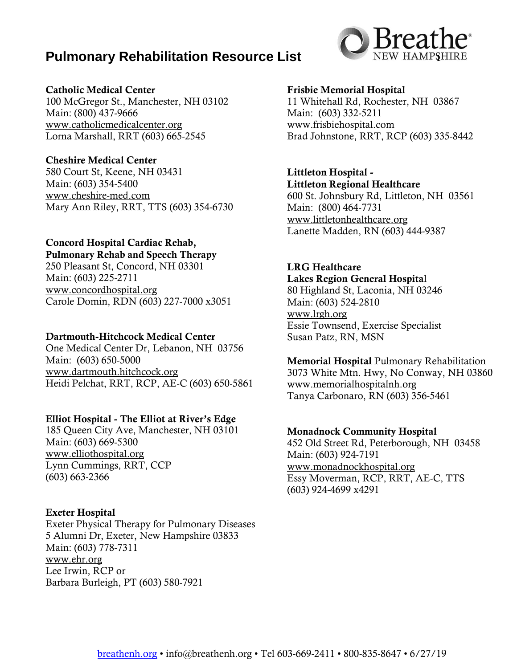## **Pulmonary Rehabilitation Resource List**



#### Catholic Medical Center

100 McGregor St., Manchester, NH 03102 Main: (800) 437-9666 www.catholicmedicalcenter.org Lorna Marshall, RRT (603) 665-2545

#### Cheshire Medical Center

580 Court St, Keene, NH 03431 Main: (603) 354-5400 [www.cheshire-med.com](http://www.cheshire-med.com/) Mary Ann Riley, RRT, TTS (603) 354-6730

## Concord Hospital Cardiac Rehab,

Pulmonary Rehab and Speech Therapy 250 Pleasant St, Concord, NH 03301 Main: (603) 225-2711 [www.concordhospital.org](http://www.concordhospital.org/) Carole Domin, RDN (603) 227-7000 x3051

#### Dartmouth-Hitchcock Medical Center

One Medical Center Dr, Lebanon, NH 03756 Main: (603) 650-5000 [www.dartmouth.hitchcock.org](http://www.dartmouth.hitchcock.org/) Heidi Pelchat, RRT, RCP, AE-C (603) 650-5861

#### Elliot Hospital - The Elliot at River's Edge

185 Queen City Ave, Manchester, NH 03101 Main: (603) 669-5300 [www.elliothospital.org](http://www.elliothospital.org/) Lynn Cummings, RRT, CCP (603) 663-2366

## Exeter Hospital

Exeter Physical Therapy for Pulmonary Diseases 5 Alumni Dr, Exeter, New Hampshire 03833 Main: (603) 778-7311 [www.ehr.org](http://www.ehr.org/) Lee Irwin, RCP or Barbara Burleigh, PT (603) 580-7921

#### Frisbie Memorial Hospital

11 Whitehall Rd, Rochester, NH 03867 Main: (603) 332-5211 www.frisbiehospital.com Brad Johnstone, RRT, RCP (603) 335-8442

## Littleton Hospital -

Littleton Regional Healthcare 600 St. Johnsbury Rd, Littleton, NH 03561 Main: (800) 464-7731 [www.littletonhealthcare.org](http://www.littletonhealthcare.org/) Lanette Madden, RN (603) 444-9387

#### LRG Healthcare

Lakes Region General Hospital 80 Highland St, Laconia, NH 03246 Main: (603) 524-2810 [www.lrgh.org](http://www.lrgh.org/) Essie Townsend, Exercise Specialist Susan Patz, RN, MSN

Memorial Hospital Pulmonary Rehabilitation 3073 White Mtn. Hwy, No Conway, NH 03860 [www.memorialhospitalnh.org](http://www.memorialhospitalnh.org/) Tanya Carbonaro, RN (603) 356-5461

#### Monadnock Community Hospital

452 Old Street Rd, Peterborough, NH 03458 Main: (603) 924-7191 [www.monadnockhospital.org](http://www.monadnockhospital.org/) Essy Moverman, RCP, RRT, AE-C, TTS (603) 924-4699 x4291